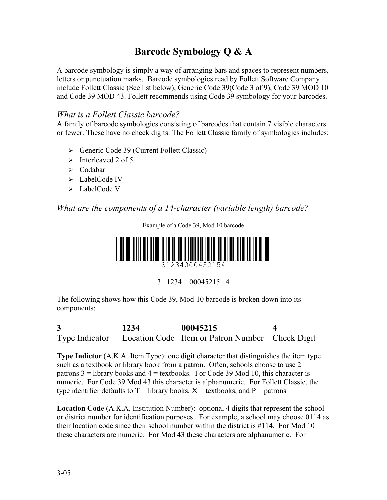# **Barcode Symbology Q & A**

A barcode symbology is simply a way of arranging bars and spaces to represent numbers, letters or punctuation marks. Barcode symbologies read by Follett Software Company include Follett Classic (See list below), Generic Code 39(Code 3 of 9), Code 39 MOD 10 and Code 39 MOD 43. Follett recommends using Code 39 symbology for your barcodes.

### *What is a Follett Classic barcode?*

A family of barcode symbologies consisting of barcodes that contain 7 visible characters or fewer. These have no check digits. The Follett Classic family of symbologies includes:

- ¾ Generic Code 39 (Current Follett Classic)
- $\triangleright$  Interleaved 2 of 5
- $\triangleright$  Codabar
- $\triangleright$  LabelCode IV
- $\blacktriangleright$  LabelCode V

## *What are the components of a 14-character (variable length) barcode?*

Example of a Code 39, Mod 10 barcode



3 1234 00045215 4

The following shows how this Code 39, Mod 10 barcode is broken down into its components:

**3 1234 00045215 4**  Type Indicator Location Code Item or Patron Number Check Digit

**Type Indictor** (A.K.A. Item Type): one digit character that distinguishes the item type such as a textbook or library book from a patron. Often, schools choose to use  $2 =$ patrons  $3 =$  library books and  $4 =$  textbooks. For Code 39 Mod 10, this character is numeric. For Code 39 Mod 43 this character is alphanumeric. For Follett Classic, the type identifier defaults to  $T =$  library books,  $X =$  textbooks, and  $P =$  patrons

**Location Code** (A.K.A. Institution Number): optional 4 digits that represent the school or district number for identification purposes. For example, a school may choose 0114 as their location code since their school number within the district is #114. For Mod 10 these characters are numeric. For Mod 43 these characters are alphanumeric. For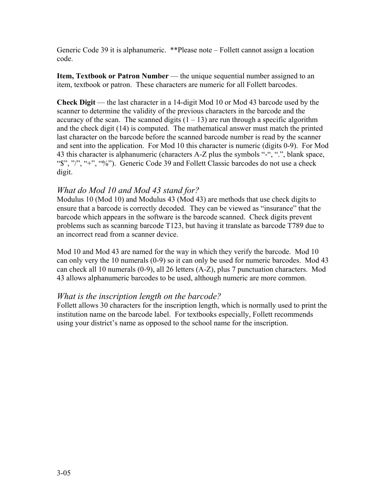Generic Code 39 it is alphanumeric. \*\*Please note – Follett cannot assign a location code.

**Item, Textbook or Patron Number** — the unique sequential number assigned to an item, textbook or patron. These characters are numeric for all Follett barcodes.

**Check Digit** — the last character in a 14-digit Mod 10 or Mod 43 barcode used by the scanner to determine the validity of the previous characters in the barcode and the accuracy of the scan. The scanned digits  $(1 – 13)$  are run through a specific algorithm and the check digit (14) is computed. The mathematical answer must match the printed last character on the barcode before the scanned barcode number is read by the scanner and sent into the application. For Mod 10 this character is numeric (digits 0-9). For Mod 43 this character is alphanumeric (characters A-Z plus the symbols "-", ".", blank space, "\$", "/", "+", "%"). Generic Code 39 and Follett Classic barcodes do not use a check digit.

### *What do Mod 10 and Mod 43 stand for?*

Modulus 10 (Mod 10) and Modulus 43 (Mod 43) are methods that use check digits to ensure that a barcode is correctly decoded. They can be viewed as "insurance" that the barcode which appears in the software is the barcode scanned. Check digits prevent problems such as scanning barcode T123, but having it translate as barcode T789 due to an incorrect read from a scanner device.

Mod 10 and Mod 43 are named for the way in which they verify the barcode. Mod 10 can only very the 10 numerals (0-9) so it can only be used for numeric barcodes. Mod 43 can check all 10 numerals (0-9), all 26 letters (A-Z), plus 7 punctuation characters. Mod 43 allows alphanumeric barcodes to be used, although numeric are more common.

#### *What is the inscription length on the barcode?*

Follett allows 30 characters for the inscription length, which is normally used to print the institution name on the barcode label. For textbooks especially, Follett recommends using your district's name as opposed to the school name for the inscription.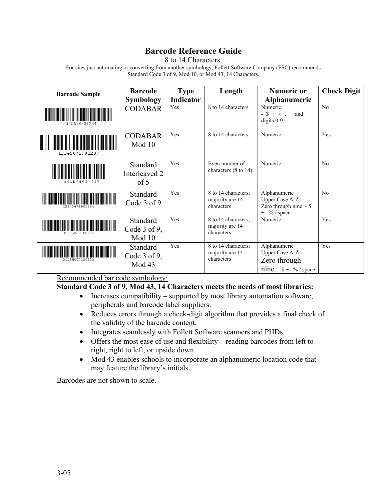## **Barcode Reference Guide**

8 to 14 Characters.

For sites just automating or converting from another symbology, Follett Software Company (FSC) recommends Standard Code 3 of 9, Mod 10, or Mod 43, 14 Characters.

| <b>Barcode Sample</b>       | <b>Barcode</b>                                 | <b>Type</b> | Length                                               | <b>Numeric or</b>                                                                   | <b>Check Digit</b> |
|-----------------------------|------------------------------------------------|-------------|------------------------------------------------------|-------------------------------------------------------------------------------------|--------------------|
|                             | <b>Symbology</b>                               | Indicator   |                                                      | Alphanumeric                                                                        |                    |
|                             | <b>CODABAR</b>                                 | Yes         | 8 to 14 characters                                   | Numeric<br>$-$ \$ : / . + and<br>digits $0-9$ .                                     | No                 |
| 12345678901237              | <b>CODABAR</b><br>Mod 10                       | Yes         | 8 to 14 characters                                   | Numeric                                                                             | Yes                |
| 2345678901                  | Standard<br>Interleaved 2<br>$\sigma$ f 5      | Yes         | Even number of<br>characters (8 to 14).              | Numeric                                                                             | No                 |
|                             | Standard<br>Code 3 of 9                        | Yes         | 8 to 14 characters;<br>majority are 14<br>characters | Alphanumeric<br><b>Upper Case A-Z</b><br>Zero through nine. - \$<br>$+$ . % / space | No                 |
| <u> Tanzania (h. 1888).</u> | Standard<br>Code $3$ of $9$ ,<br>Mod 10        | Yes         | 8 to 14 characters;<br>majority are 14<br>characters | Numeric                                                                             | Yes                |
|                             | <b>Standard</b><br>Code $3$ of $9$ ,<br>Mod 43 | Yes         | 8 to 14 characters;<br>majority are 14<br>characters | Alphanumeric<br>Upper Case A-Z<br>Zero through<br>nine. $-$ \$ + $\cdot$ % / space  | Yes                |

Recommended bar code symbology:

## **Standard Code 3 of 9, Mod 43, 14 Characters meets the needs of most libraries:**

- Increases compatibility supported by most library automation software, peripherals and barcode label suppliers.
- Reduces errors through a check-digit algorithm that provides a final check of the validity of the barcode content.
- Integrates seamlessly with Follett Software scanners and PHDs.
- Offers the most ease of use and flexibility reading barcodes from left to right, right to left, or upside down.
- Mod 43 enables schools to incorporate an alphanumeric location code that may feature the library's initials.

Barcodes are not shown to scale.